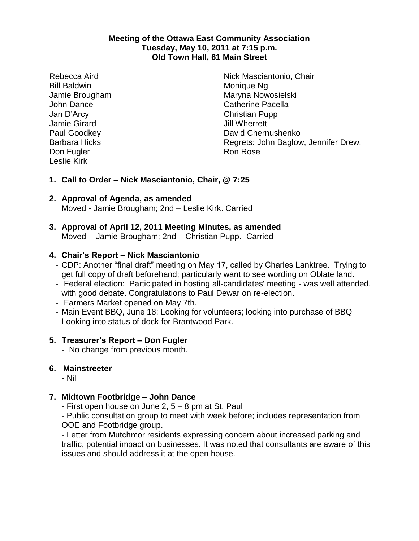#### **Meeting of the Ottawa East Community Association Tuesday, May 10, 2011 at 7:15 p.m. Old Town Hall, 61 Main Street**

Rebecca Aird Bill Baldwin Jamie Brougham John Dance Jan D'Arcy Jamie Girard Paul Goodkey Barbara Hicks Don Fugler Leslie Kirk

Nick Masciantonio, Chair Monique Ng Maryna Nowosielski Catherine Pacella Christian Pupp Jill Wherrett David Chernushenko Regrets: John Baglow, Jennifer Drew, Ron Rose

## **1. Call to Order – Nick Masciantonio, Chair, @ 7:25**

# **2. Approval of Agenda, as amended**

Moved - Jamie Brougham; 2nd – Leslie Kirk. Carried

#### **3. Approval of April 12, 2011 Meeting Minutes, as amended** Moved - Jamie Brougham; 2nd – Christian Pupp. Carried

### **4. Chair's Report – Nick Masciantonio**

- CDP: Another "final draft" meeting on May 17, called by Charles Lanktree. Trying to get full copy of draft beforehand; particularly want to see wording on Oblate land.
- Federal election: Participated in hosting all-candidates' meeting was well attended, with good debate. Congratulations to Paul Dewar on re-election.
- Farmers Market opened on May 7th.
- Main Event BBQ, June 18: Looking for volunteers; looking into purchase of BBQ
- Looking into status of dock for Brantwood Park.

### **5. Treasurer's Report – Don Fugler**

- No change from previous month.

### **6. Mainstreeter**

- Nil

## **7. Midtown Footbridge – John Dance**

- First open house on June 2, 5 – 8 pm at St. Paul

- Public consultation group to meet with week before; includes representation from OOE and Footbridge group.

- Letter from Mutchmor residents expressing concern about increased parking and traffic, potential impact on businesses. It was noted that consultants are aware of this issues and should address it at the open house.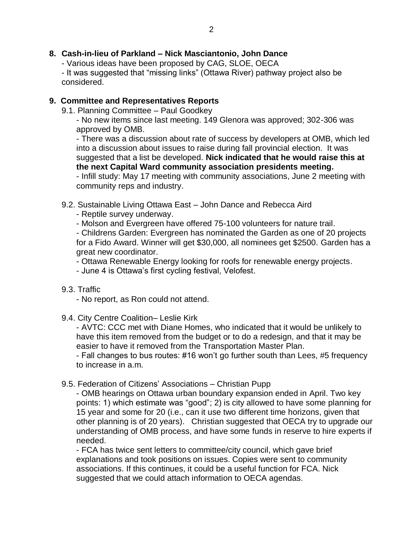## **8. Cash-in-lieu of Parkland – Nick Masciantonio, John Dance**

- Various ideas have been proposed by CAG, SLOE, OECA

- It was suggested that "missing links" (Ottawa River) pathway project also be considered.

### **9. Committee and Representatives Reports**

9.1. Planning Committee – Paul Goodkey

- No new items since last meeting. 149 Glenora was approved; 302-306 was approved by OMB.

- There was a discussion about rate of success by developers at OMB, which led into a discussion about issues to raise during fall provincial election. It was suggested that a list be developed. **Nick indicated that he would raise this at the next Capital Ward community association presidents meeting.**

- Infill study: May 17 meeting with community associations, June 2 meeting with community reps and industry.

9.2. Sustainable Living Ottawa East – John Dance and Rebecca Aird

- Reptile survey underway.
- Molson and Evergreen have offered 75-100 volunteers for nature trail.

- Childrens Garden: Evergreen has nominated the Garden as one of 20 projects for a Fido Award. Winner will get \$30,000, all nominees get \$2500. Garden has a great new coordinator.

- Ottawa Renewable Energy looking for roofs for renewable energy projects.

- June 4 is Ottawa's first cycling festival, Velofest.

### 9.3. Traffic

- No report, as Ron could not attend.

9.4. City Centre Coalition– Leslie Kirk

- AVTC: CCC met with Diane Homes, who indicated that it would be unlikely to have this item removed from the budget or to do a redesign, and that it may be easier to have it removed from the Transportation Master Plan.

- Fall changes to bus routes: #16 won't go further south than Lees, #5 frequency to increase in a.m.

9.5. Federation of Citizens' Associations – Christian Pupp

- OMB hearings on Ottawa urban boundary expansion ended in April. Two key points: 1) which estimate was "good"; 2) is city allowed to have some planning for 15 year and some for 20 (i.e., can it use two different time horizons, given that other planning is of 20 years). Christian suggested that OECA try to upgrade our understanding of OMB process, and have some funds in reserve to hire experts if needed.

- FCA has twice sent letters to committee/city council, which gave brief explanations and took positions on issues. Copies were sent to community associations. If this continues, it could be a useful function for FCA. Nick suggested that we could attach information to OECA agendas.